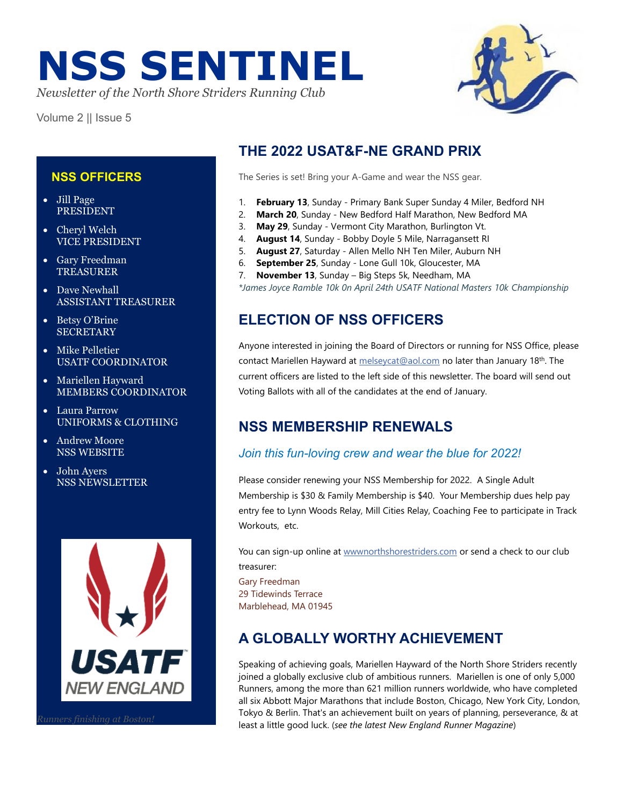# **NSS SENTINEL**

*Newsletter of the North Shore Striders Running Club*

Volume 2 || Issue 5

# **THE 2022 USAT&F-NE GRAND PRIX**

The Series is set! Bring your A-Game and wear the NSS gear.

- 1. **February 13**, Sunday Primary Bank Super Sunday 4 Miler, Bedford NH
- 2. **March 20**, Sunday New Bedford Half Marathon, New Bedford MA
- 3. **May 29**, Sunday Vermont City Marathon, Burlington Vt.
- 4. **August 14**, Sunday Bobby Doyle 5 Mile, Narragansett RI
- 5. **August 27**, Saturday Allen Mello NH Ten Miler, Auburn NH
- 6. **September 25**, Sunday Lone Gull 10k, Gloucester, MA
- 7. **November 13**, Sunday Big Steps 5k, Needham, MA

*\*James Joyce Ramble 10k 0n April 24th USATF National Masters 10k Championship*

# **ELECTION OF NSS OFFICERS**

Anyone interested in joining the Board of Directors or running for NSS Office, please contact Mariellen Hayward at [melseycat@aol.com](mailto:melseycat@aol.com) no later than January 18<sup>th</sup>. The current officers are listed to the left side of this newsletter. The board will send out Voting Ballots with all of the candidates at the end of January.

# **NSS MEMBERSHIP RENEWALS**

### *Join this fun-loving crew and wear the blue for 2022!*

Please consider renewing your NSS Membership for 2022. A Single Adult Membership is \$30 & Family Membership is \$40. Your Membership dues help pay entry fee to Lynn Woods Relay, Mill Cities Relay, Coaching Fee to participate in Track Workouts, etc.

You can sign-up online at [wwwnorthshorestriders.com](http://www.northshorestriders.com/) or send a check to our club treasurer:

Gary Freedman 29 Tidewinds Terrace Marblehead, MA 01945

# **A GLOBALLY WORTHY ACHIEVEMENT**

Speaking of achieving goals, Mariellen Hayward of the North Shore Striders recently joined a globally exclusive club of ambitious runners. Mariellen is one of only 5,000 Runners, among the more than 621 million runners worldwide, who have completed all six Abbott Major Marathons that include Boston, Chicago, New York City, London, Tokyo & Berlin. That's an achievement built on years of planning, perseverance, & at least a little good luck. (*see the latest New England Runner Magazine*)

#### **NSS OFFICERS**

- Jill Page PRESIDENT
- Cheryl Welch VICE PRESIDENT
- Gary Freedman TREASURER
- Dave Newhall ASSISTANT TREASURER
- Betsy O'Brine **SECRETARY**
- Mike Pelletier USATF COORDINATOR
- Mariellen Hayward MEMBERS COORDINATOR
- Laura Parrow UNIFORMS & CLOTHING
- Andrew Moore NSS WEBSITE
- John Ayers NSS NEWSLETTER

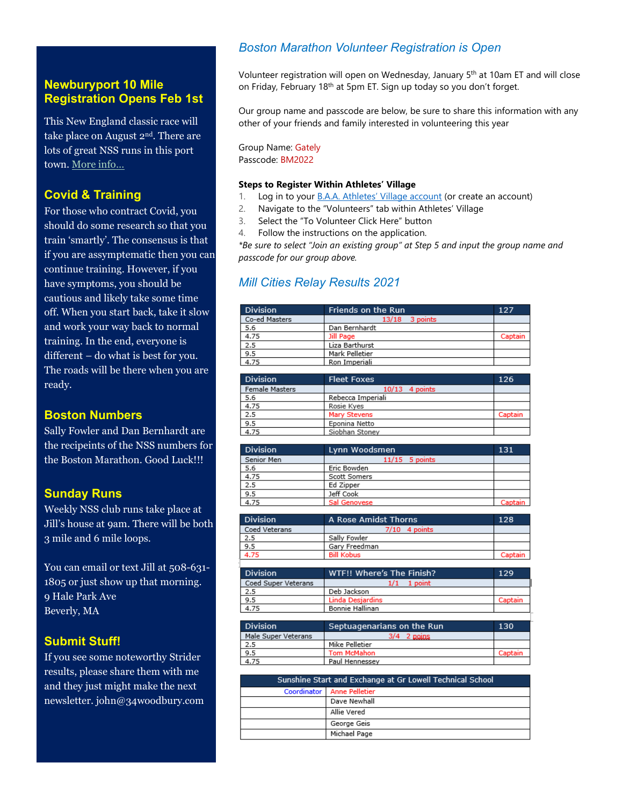#### **Newburyport 10 Mile Registration Opens Feb 1st**

This New England classic race will take place on August 2nd. There are lots of great NSS runs in this port town[. More info…](https://u16647808.ct.sendgrid.net/ls/click?upn=QZ4QgyDX5rnMKoqT6RmeND7gtnqrTx8UkvWC7ZFcKXAXh7-2FQWWNkM1kvPekgA4w6MofrrLg0MLRFvFOw2L2as46fOf2E8XpLF4F0bLJjOpcliFrWMSwj7pLBbM984V-2F56L6bq62ZKKKSJ3TeN3rdUAI17mDVuLXrkDaOUECzTDA-3Dr3EN_M9YNHoJDkG4Io7Aex-2FtcjNDXA0ePUIkhfh1HSQtzzhtPE6nNk8qfaa4yFjJ76vhlWRGGbeT3CjxHfEIWCfP3P8VMk1WHXJf5alYlrR7uyiU3X2CzjFmGee5I-2BuzotXTaDd2NfEYPJwdlMFnBAmNsj9W670jshcDm-2BEuWF4INf-2BhVir7DMxRyP2IiaD8-2FEWKdOcu4isPwhQqSxrG0yfN6JQ-3D-3D)

#### **Covid & Training**

For those who contract Covid, you should do some research so that you train 'smartly'. The consensus is that if you are assymptematic then you can continue training. However, if you have symptoms, you should be cautious and likely take some time off. When you start back, take it slow and work your way back to normal training. In the end, everyone is different – do what is best for you. The roads will be there when you are ready.

#### **Boston Numbers**

Sally Fowler and Dan Bernhardt are the recipeints of the NSS numbers for the Boston Marathon. Good Luck!!!

#### **Sunday Runs**

Weekly NSS club runs take place at Jill's house at 9am. There will be both 3 mile and 6 mile loops.

You can email or text Jill at 508-631-1805 or just show up that morning. • 9 Hale Park Ave Beverly, MA

#### **Submit Stuff!**

If you see some noteworthy Strider results, please share them with me and they just might make the next newsletter. john@34woodbury.com

#### *Boston Marathon Volunteer Registration is Open*

Volunteer registration will open on Wednesday, January 5<sup>th</sup> at 10am ET and will close on Friday, February 18<sup>th</sup> at 5pm ET. Sign up today so you don't forget.

Our group name and passcode are below, be sure to share this information with any other of your friends and family interested in volunteering this year

Group Name: Gately Passcode: BM2022

#### **Steps to Register Within Athletes' Village**

- 1. Log in to your **B.A.A.** Athletes' Village account (or create an account)
- 2. Navigate to the "Volunteers" tab within Athletes' Village
- 3. Select the "To Volunteer Click Here" button
- 4. Follow the instructions on the application.

*\*Be sure to select "Join an existing group" at Step 5 and input the group name and passcode for our group above.*

#### *Mill Cities Relay Results 2021*

| <b>Division</b> | Friends on the Run | 127     |
|-----------------|--------------------|---------|
| Co-ed Masters   | 3 points<br>13/18  |         |
| 5.6             | Dan Bernhardt      |         |
| 4.75            | Jill Page          | Captain |
| 2.5             | Liza Barthurst     |         |
| 9.5             | Mark Pelletier     |         |
| 4.75            | Ron Imperiali      |         |

| <b>Division</b>       | <b>Fleet Foxes</b> | 126     |
|-----------------------|--------------------|---------|
| <b>Female Masters</b> | $10/13$ 4 points   |         |
| 5.6                   | Rebecca Imperiali  |         |
| 4.75                  | Rosie Kyes         |         |
| 2.5                   | Mary Stevens       | Captain |
| 9.5                   | Eponina Netto      |         |
| 4.75                  | Siobhan Stoney     |         |
|                       |                    |         |

| <b>Division</b> | Lynn Woodsmen    | 131     |
|-----------------|------------------|---------|
| Senior Men      | $11/15$ 5 points |         |
| 5.6             | Eric Bowden      |         |
| 4.75            | Scott Somers     |         |
| 2.5             | Ed Zipper        |         |
| 9.5             | Jeff Cook        |         |
| 4.75            | Sal Genovese     | Captain |

| <b>Division</b>     | A Rose Amidst Thorns      | 128     |
|---------------------|---------------------------|---------|
| Coed Veterans       | $7/10$ 4 points           |         |
| 2.5                 | Sally Fowler              |         |
| 9.5                 | Gary Freedman             |         |
| 4.75                | <b>Bill Kobus</b>         | Captain |
|                     |                           |         |
| <b>Division</b>     | WTF!! Where's The Finish? | 129     |
| Coed Super Veterans | $1/1$ 1 point             |         |
| 2.5                 | Deb Jackson               |         |
| 9.5                 | Linda Desjardins          | Captain |
| 4.75                | Bonnie Hallinan           |         |

| Division            | WTF!! Where's The Finish? | 129     |
|---------------------|---------------------------|---------|
| Coed Super Veterans | 1/1<br>1 point            |         |
| 2.5                 | Deb Jackson               |         |
| 9.5                 | <b>Linda Desiardins</b>   | Captain |
| 4.75                | Bonnie Hallinan           |         |
|                     |                           |         |

| <b>Division</b>     | Septuagenarians on the Run | 130     |
|---------------------|----------------------------|---------|
| Male Super Veterans | 2 pains                    |         |
| 2.5                 | Mike Pelletier             |         |
| 9.5                 | Tom McMahon                | Captain |
| 4.75                | Paul Hennessev             |         |

| Sunshine Start and Exchange at Gr Lowell Technical School |
|-----------------------------------------------------------|
| Coordinator   Anne Pelletier                              |
| Dave Newhall                                              |
| Allie Vered                                               |
| George Geis                                               |
| Michael Page                                              |